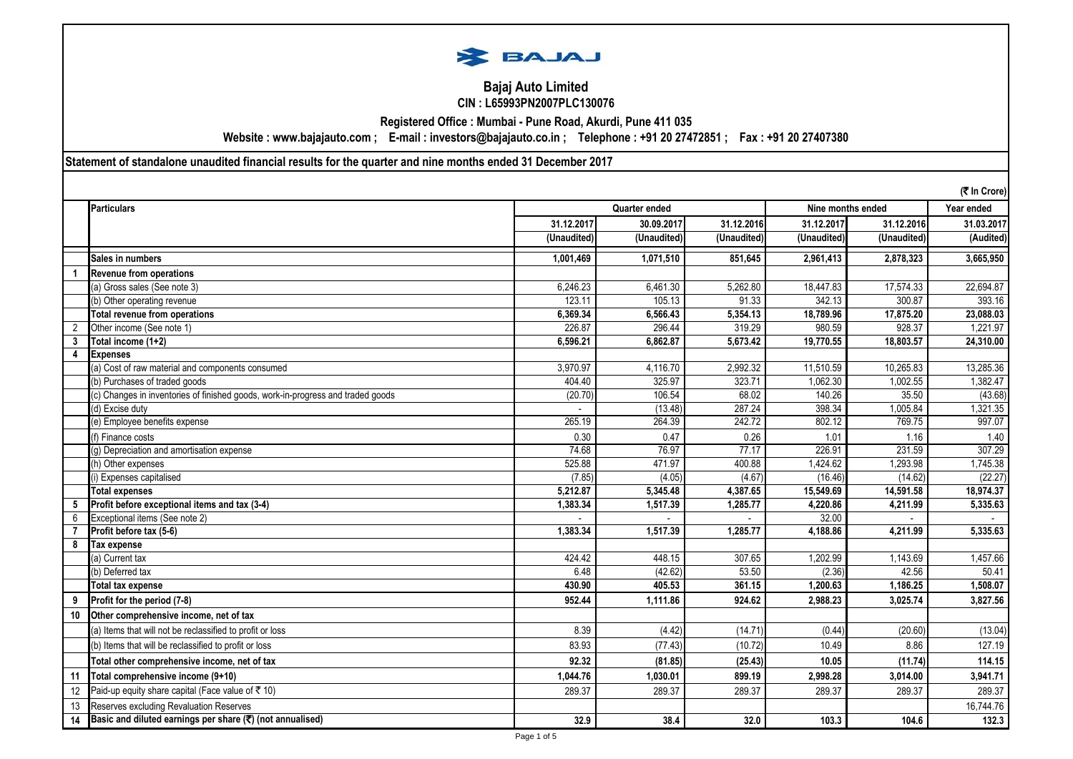

## **Bajaj Auto Limited CIN : L65993PN2007PLC130076**

**Registered Office : Mumbai - Pune Road, Akurdi, Pune 411 035**

**Website : www.bajajauto.com ; E-mail : investors@bajajauto.co.in ; Telephone : +91 20 27472851 ; Fax : +91 20 27407380**

**Statement of standalone unaudited financial results for the quarter and nine months ended 31 December 2017**

|              |                                                                                 |               |             |                          |             |                   | (₹ In Crore) |  |
|--------------|---------------------------------------------------------------------------------|---------------|-------------|--------------------------|-------------|-------------------|--------------|--|
|              | Particulars                                                                     | Quarter ended |             |                          |             | Nine months ended |              |  |
|              |                                                                                 | 31.12.2017    | 30.09.2017  | 31.12.2016               | 31.12.2017  | 31.12.2016        | 31.03.2017   |  |
|              |                                                                                 | (Unaudited)   | (Unaudited) | $\overline{(Unaudited)}$ | (Unaudited) | (Unaudited)       | (Audited)    |  |
|              | Sales in numbers                                                                | 1,001,469     | 1,071,510   | 851.645                  | 2,961,413   | 2,878,323         | 3,665,950    |  |
|              | <b>Revenue from operations</b>                                                  |               |             |                          |             |                   |              |  |
|              | (a) Gross sales (See note 3)                                                    | 6,246.23      | 6,461.30    | 5,262.80                 | 18,447.83   | 17,574.33         | 22,694.87    |  |
|              | (b) Other operating revenue                                                     | 123.11        | 105.13      | 91.33                    | 342.13      | 300.87            | 393.16       |  |
|              | <b>Total revenue from operations</b>                                            | 6,369.34      | 6,566.43    | 5,354.13                 | 18,789.96   | 17,875.20         | 23,088.03    |  |
|              | Other income (See note 1)                                                       | 226.87        | 296.44      | 319.29                   | 980.59      | 928.37            | 1,221.97     |  |
| $\mathbf{3}$ | Total income (1+2)                                                              | 6,596.21      | 6,862.87    | 5,673.42                 | 19,770.55   | 18,803.57         | 24,310.00    |  |
| 4            | <b>Expenses</b>                                                                 |               |             |                          |             |                   |              |  |
|              | (a) Cost of raw material and components consumed                                | 3,970.97      | 4,116.70    | 2,992.32                 | 11,510.59   | 10,265.83         | 13,285.36    |  |
|              | (b) Purchases of traded goods                                                   | 404.40        | 325.97      | 323.71                   | 1,062.30    | 1,002.55          | 1,382.47     |  |
|              | (c) Changes in inventories of finished goods, work-in-progress and traded goods | (20.70)       | 106.54      | 68.02                    | 140.26      | 35.50             | (43.68)      |  |
|              | (d) Excise duty                                                                 |               | (13.48)     | 287.24                   | 398.34      | 1,005.84          | 1,321.35     |  |
|              | (e) Employee benefits expense                                                   | 265.19        | 264.39      | 242.72                   | 802.12      | 769.75            | 997.07       |  |
|              | (f) Finance costs                                                               | 0.30          | 0.47        | 0.26                     | 1.01        | 1.16              | 1.40         |  |
|              | (g) Depreciation and amortisation expense                                       | 74.68         | 76.97       | 77.17                    | 226.91      | 231.59            | 307.29       |  |
|              | (h) Other expenses                                                              | 525.88        | 471.97      | 400.88                   | 1,424.62    | 1,293.98          | 1,745.38     |  |
|              | i) Expenses capitalised                                                         | (7.85)        | (4.05)      | (4.67)                   | (16.46)     | (14.62)           | (22.27)      |  |
|              | <b>Total expenses</b>                                                           | 5,212.87      | 5,345.48    | 4,387.65                 | 15,549.69   | 14,591.58         | 18,974.37    |  |
| 5            | Profit before exceptional items and tax (3-4)                                   | 1,383.34      | 1,517.39    | 1,285.77                 | 4,220.86    | 4,211.99          | 5,335.63     |  |
| 6            | Exceptional items (See note 2)                                                  |               |             |                          | 32.00       |                   |              |  |
|              | Profit before tax (5-6)                                                         | 1,383.34      | 1,517.39    | 1,285.77                 | 4,188.86    | 4,211.99          | 5,335.63     |  |
| 8            | <b>Tax expense</b>                                                              |               |             |                          |             |                   |              |  |
|              | (a) Current tax                                                                 | 424.42        | 448.15      | 307.65                   | 1,202.99    | 1,143.69          | 1,457.66     |  |
|              | (b) Deferred tax                                                                | 6.48          | (42.62)     | 53.50                    | (2.36)      | 42.56             | 50.41        |  |
|              | <b>Total tax expense</b>                                                        | 430.90        | 405.53      | 361.15                   | 1,200.63    | 1,186.25          | 1,508.07     |  |
|              | Profit for the period (7-8)                                                     | 952.44        | 1,111.86    | 924.62                   | 2,988.23    | 3,025.74          | 3,827.56     |  |
| 10           | Other comprehensive income, net of tax                                          |               |             |                          |             |                   |              |  |
|              | (a) Items that will not be reclassified to profit or loss                       | 8.39          | (4.42)      | (14.71)                  | (0.44)      | (20.60)           | (13.04)      |  |
|              | (b) Items that will be reclassified to profit or loss                           | 83.93         | (77.43)     | (10.72)                  | 10.49       | 8.86              | 127.19       |  |
|              | Total other comprehensive income, net of tax                                    | 92.32         | (81.85)     | (25.43)                  | 10.05       | (11.74)           | 114.15       |  |
| 11           | Total comprehensive income (9+10)                                               | 1,044.76      | 1,030.01    | 899.19                   | 2,998.28    | 3,014.00          | 3,941.71     |  |
| 12           | Paid-up equity share capital (Face value of ₹10)                                | 289.37        | 289.37      | 289.37                   | 289.37      | 289.37            | 289.37       |  |
| 13           | Reserves excluding Revaluation Reserves                                         |               |             |                          |             |                   | 16,744.76    |  |
| 14           | Basic and diluted earnings per share (₹) (not annualised)                       | 32.9          | 38.4        | 32.0                     | 103.3       | 104.6             | 132.3        |  |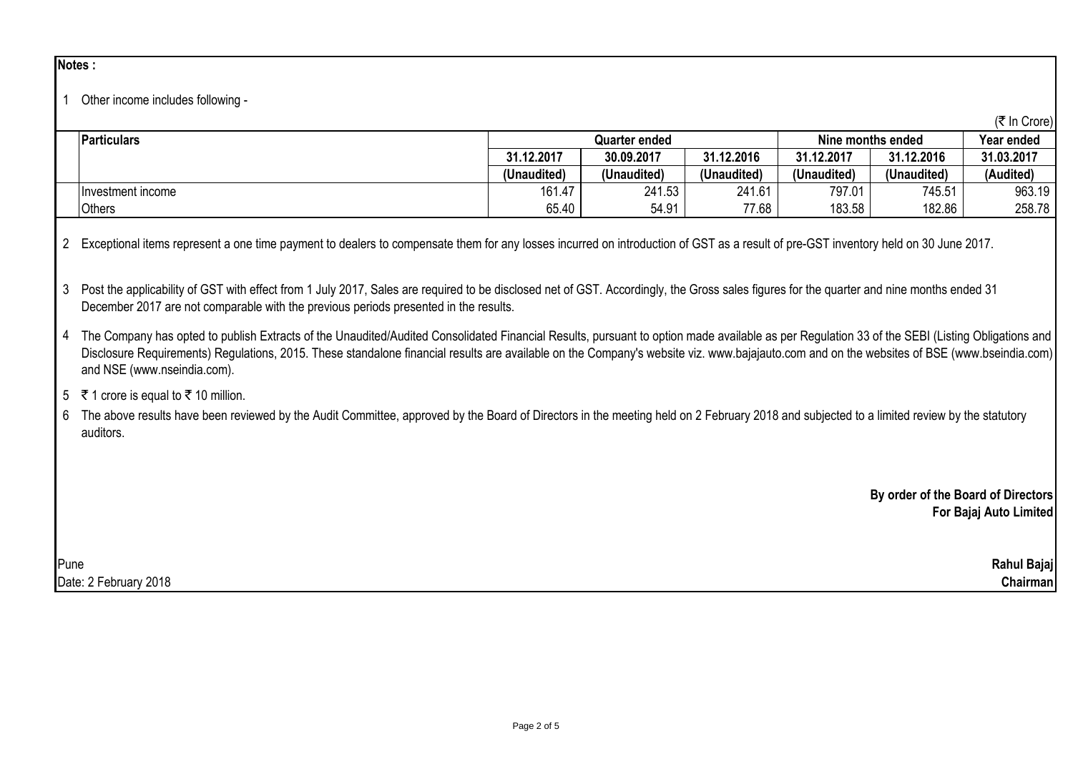### **Notes :**

## 1 Other income includes following -

|                   |               |             |             |                   |             | (₹ In Crore) |
|-------------------|---------------|-------------|-------------|-------------------|-------------|--------------|
| Particulars       | Quarter ended |             |             | Nine months ended | Year ended  |              |
|                   | 31.12.2017    | 30.09.2017  | 31.12.2016  | 31.12.2017        | 31.12.2016  | 31.03.2017   |
|                   | (Unaudited)   | (Unaudited) | (Unaudited) | (Unaudited)       | (Unaudited) | (Audited)    |
| Investment income | 161.47        | 241.53      | 241.61      | 797.01            | 745.51      | 963.19       |
| <b>Others</b>     | 65.40         | 54.91       | 77.68       | 183.58            | 182.86      | 258.78       |

2 Exceptional items represent a one time payment to dealers to compensate them for any losses incurred on introduction of GST as a result of pre-GST inventory held on 30 June 2017.

3 Post the applicability of GST with effect from 1 July 2017, Sales are required to be disclosed net of GST. Accordingly, the Gross sales figures for the quarter and nine months ended 31 December 2017 are not comparable with the previous periods presented in the results.

4 The Company has opted to publish Extracts of the Unaudited/Audited Consolidated Financial Results, pursuant to option made available as per Regulation 33 of the SEBI (Listing Obligations and Disclosure Requirements) Requiations, 2015. These standalone financial results are available on the Company's website viz. www.bajajauto.com and on the websites of BSE (www.bseindia.com) and NSE (www.nseindia.com).

# 5 ₹ 1 crore is equal to ₹ 10 million.

6 The above results have been reviewed by the Audit Committee, approved by the Board of Directors in the meeting held on 2 February 2018 and subjected to a limited review by the statutory auditors.

> **By order of the Board of Directors For Bajaj Auto Limited**

Pune **Rahul Bajaj** Date: 2 February 2018 **Chairman**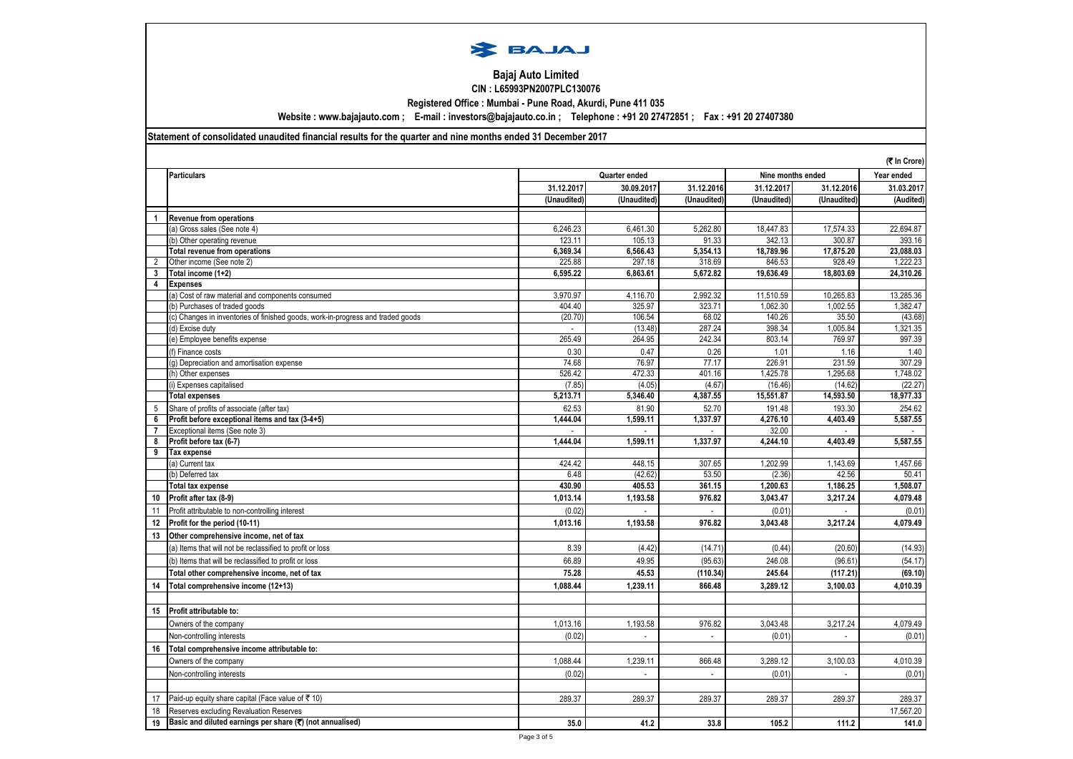

#### **Bajaj Auto Limited CIN : L65993PN2007PLC130076**

**Registered Office : Mumbai - Pune Road, Akurdi, Pune 411 035**

**Website : www.bajajauto.com ; E-mail : investors@bajajauto.co.in ; Telephone : +91 20 27472851 ; Fax : +91 20 27407380**

### **Statement of consolidated unaudited financial results for the quarter and nine months ended 31 December 2017**

|                     |                                                                                                                      |             |                                    |                    |                   |             | (そ In Crore) |
|---------------------|----------------------------------------------------------------------------------------------------------------------|-------------|------------------------------------|--------------------|-------------------|-------------|--------------|
|                     | <b>Particulars</b>                                                                                                   |             | Nine months ended<br>Quarter ended |                    |                   |             | Year ended   |
|                     |                                                                                                                      | 31.12.2017  | 30.09.2017                         | 31.12.2016         | 31.12.2017        | 31.12.2016  | 31.03.2017   |
|                     |                                                                                                                      | (Unaudited) | (Unaudited)                        | (Unaudited)        | (Unaudited)       | (Unaudited) | (Audited)    |
| $\mathbf{1}$        | <b>Revenue from operations</b>                                                                                       |             |                                    |                    |                   |             |              |
|                     | (a) Gross sales (See note 4)                                                                                         | 6.246.23    | 6,461.30                           | 5.262.80           | 18.447.83         | 17,574.33   | 22.694.87    |
|                     | (b) Other operating revenue                                                                                          | 123.11      | 105.13                             | 91.33              | 342.13            | 300.87      | 393.16       |
|                     | <b>Total revenue from operations</b>                                                                                 | 6.369.34    | 6.566.43                           | 5.354.13           | 18,789.96         | 17,875.20   | 23.088.03    |
| 2                   | Other income (See note 2)                                                                                            | 225.88      | 297.18                             | 318.69             | 846.53            | 928.49      | 1.222.23     |
| 3                   | Total income (1+2)                                                                                                   | 6,595.22    | 6,863.61                           | 5,672.82           | 19,636.49         | 18,803.69   | 24,310.26    |
| 4                   | <b>Expenses</b>                                                                                                      |             |                                    |                    |                   |             |              |
|                     | (a) Cost of raw material and components consumed                                                                     | 3,970.97    | 4,116.70                           | 2,992.32           | 11,510.59         | 10,265.83   | 13,285.36    |
|                     | b) Purchases of traded goods                                                                                         | 404.40      | 325.97                             | 323.71             | 1,062.30          | 1,002.55    | 1,382.47     |
|                     | c) Changes in inventories of finished goods, work-in-progress and traded goods                                       | (20.70)     | 106.54                             | 68.02              | 140.26            | 35.50       | (43.68)      |
|                     | (d) Excise duty                                                                                                      |             | (13.48)                            | 287.24             | 398.34            | 1,005.84    | 1,321.35     |
|                     | (e) Employee benefits expense                                                                                        | 265.49      | 264.95                             | 242.34             | 803.14            | 769.97      | 997.39       |
|                     | (f) Finance costs                                                                                                    | 0.30        | 0.47                               | 0.26               | 1.01              | 1.16        | 1.40         |
|                     | (q) Depreciation and amortisation expense                                                                            | 74.68       | 76.97                              | 77.17              | 226.91            | 231.59      | 307.29       |
|                     | (h) Other expenses                                                                                                   | 526.42      | 472.33                             | 401.16             | 1,425.78          | 1,295.68    | 1.748.02     |
|                     | i) Expenses capitalised                                                                                              | (7.85)      | (4.05)                             | (4.67)             | (16.46)           | (14.62)     | (22.27)      |
|                     | <b>Total expenses</b>                                                                                                | 5,213.71    | 5,346.40                           | 4,387.55           | 15,551.87         | 14,593.50   | 18,977.33    |
| 5                   | Share of profits of associate (after tax)                                                                            | 62.53       | 81.90                              | 52.70              | 191.48            | 193.30      | 254.62       |
| 6                   | Profit before exceptional items and tax (3-4+5)                                                                      | 1,444.04    | 1,599.11                           | 1,337.97           | 4,276.10          | 4,403.49    | 5,587.55     |
| $\overline{7}$<br>8 | Exceptional items (See note 3)<br>Profit before tax (6-7)                                                            | 1,444.04    | 1,599.11                           | $\sim$<br>1,337.97 | 32.00<br>4,244.10 | 4,403.49    | 5,587.55     |
| 9                   | Tax expense                                                                                                          |             |                                    |                    |                   |             |              |
|                     | a) Current tax                                                                                                       | 424.42      | 448.15                             | 307.65             | 1,202.99          | 1,143.69    | 1,457.66     |
|                     | (b) Deferred tax                                                                                                     | 6.48        | (42.62)                            | 53.50              | (2.36)            | 42.56       | 50.41        |
|                     | <b>Total tax expense</b>                                                                                             | 430.90      | 405.53                             | 361.15             | 1,200.63          | 1,186.25    | 1,508.07     |
| 10                  | Profit after tax (8-9)                                                                                               | 1,013.14    | 1,193.58                           | 976.82             | 3,043.47          | 3,217.24    | 4,079.48     |
| 11                  | Profit attributable to non-controlling interest                                                                      | (0.02)      | $\overline{\phantom{a}}$           | $\blacksquare$     | (0.01)            |             | (0.01)       |
| 12                  | Profit for the period (10-11)                                                                                        | 1,013.16    | 1,193.58                           | 976.82             | 3,043.48          | 3,217.24    | 4,079.49     |
| 13                  | Other comprehensive income, net of tax                                                                               |             |                                    |                    |                   |             |              |
|                     | a) Items that will not be reclassified to profit or loss                                                             | 8.39        | (4.42)                             | (14.71)            | (0.44)            | (20.60)     | (14.93)      |
|                     | (b) Items that will be reclassified to profit or loss                                                                | 66.89       | 49.95                              | (95.63)            | 246.08            | (96.61)     | (54.17)      |
|                     | Total other comprehensive income, net of tax                                                                         | 75.28       | 45.53                              | (110.34)           | 245.64            | (117.21)    | (69.10)      |
| 14                  | Total comprehensive income (12+13)                                                                                   | 1,088.44    | 1,239.11                           | 866.48             | 3,289.12          | 3.100.03    | 4,010.39     |
|                     |                                                                                                                      |             |                                    |                    |                   |             |              |
| 15                  | Profit attributable to:                                                                                              |             |                                    |                    |                   |             |              |
|                     | Owners of the company                                                                                                | 1,013.16    | 1,193.58                           | 976.82             | 3,043.48          | 3,217.24    | 4,079.49     |
|                     | Non-controlling interests                                                                                            | (0.02)      |                                    |                    | (0.01)            |             | (0.01)       |
| 16                  |                                                                                                                      |             |                                    |                    |                   |             |              |
|                     | Total comprehensive income attributable to:                                                                          |             |                                    |                    |                   |             |              |
|                     | Owners of the company                                                                                                | 1,088.44    | 1,239.11                           | 866.48             | 3,289.12          | 3,100.03    | 4,010.39     |
|                     | Non-controlling interests                                                                                            | (0.02)      |                                    | $\overline{a}$     | (0.01)            |             | (0.01)       |
| 17                  | Paid-up equity share capital (Face value of ₹10)                                                                     | 289.37      | 289.37                             | 289.37             | 289.37            | 289.37      | 289.37       |
|                     |                                                                                                                      |             |                                    |                    |                   |             | 17.567.20    |
| 18<br>19            | Reserves excluding Revaluation Reserves<br>Basic and diluted earnings per share $(\overline{\tau})$ (not annualised) | 35.0        | 41.2                               | 33.8               | 105.2             | 111.2       |              |
|                     |                                                                                                                      |             |                                    |                    |                   |             | 141.0        |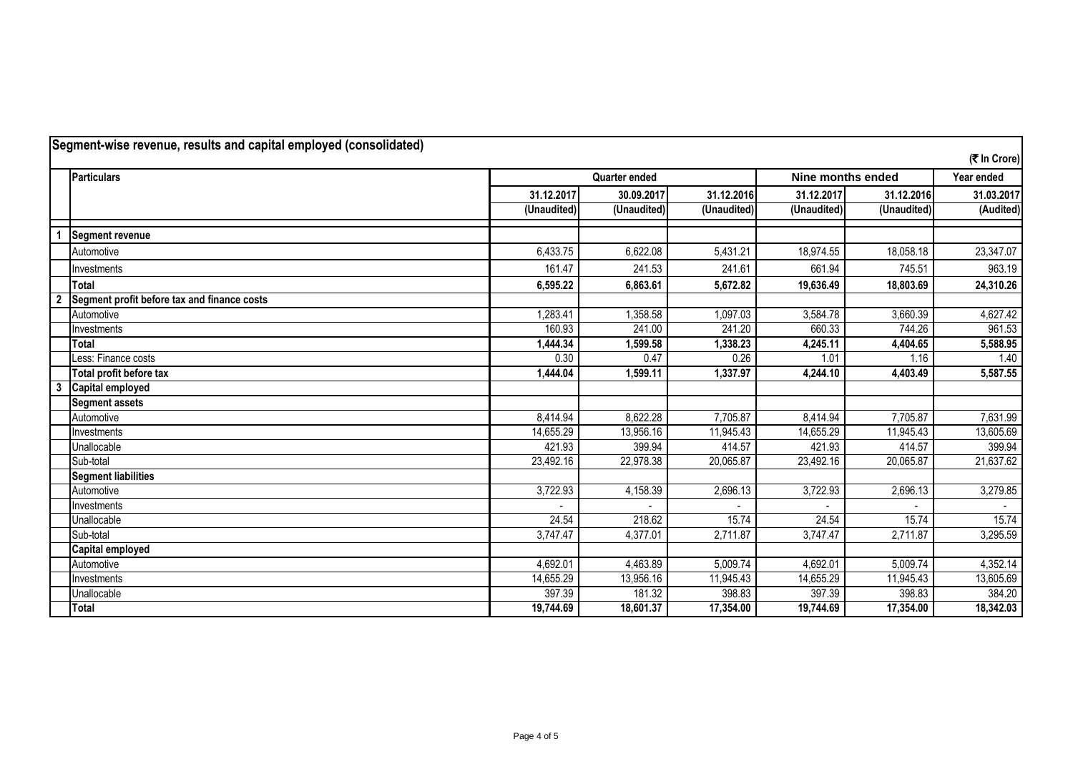|                | Segment-wise revenue, results and capital employed (consolidated) |                      |             |             |                   |             | (そ In Crore) |
|----------------|-------------------------------------------------------------------|----------------------|-------------|-------------|-------------------|-------------|--------------|
|                | <b>Particulars</b>                                                | <b>Quarter ended</b> |             |             | Nine months ended | Year ended  |              |
|                |                                                                   | 31.12.2017           | 30.09.2017  | 31.12.2016  | 31.12.2017        | 31.12.2016  | 31.03.2017   |
|                |                                                                   | (Unaudited)          | (Unaudited) | (Unaudited) | (Unaudited)       | (Unaudited) | (Audited)    |
|                | <b>Segment revenue</b>                                            |                      |             |             |                   |             |              |
|                | Automotive                                                        | 6,433.75             | 6,622.08    | 5,431.21    | 18,974.55         | 18,058.18   | 23,347.07    |
|                | Investments                                                       | 161.47               | 241.53      | 241.61      | 661.94            | 745.51      | 963.19       |
|                | <b>Total</b>                                                      | 6,595.22             | 6,863.61    | 5,672.82    | 19,636.49         | 18,803.69   | 24,310.26    |
| $\overline{2}$ | Segment profit before tax and finance costs                       |                      |             |             |                   |             |              |
|                | Automotive                                                        | 1,283.41             | 1,358.58    | 1,097.03    | 3,584.78          | 3,660.39    | 4,627.42     |
|                | Investments                                                       | 160.93               | 241.00      | 241.20      | 660.33            | 744.26      | 961.53       |
|                | <b>Total</b>                                                      | 1,444.34             | 1,599.58    | 1,338.23    | 4,245.11          | 4,404.65    | 5,588.95     |
|                | Less: Finance costs                                               | 0.30                 | 0.47        | 0.26        | 1.01              | 1.16        | 1.40         |
|                | Total profit before tax                                           | 1,444.04             | 1,599.11    | 1,337.97    | 4,244.10          | 4,403.49    | 5,587.55     |
| 3              | <b>Capital employed</b>                                           |                      |             |             |                   |             |              |
|                | <b>Segment assets</b>                                             |                      |             |             |                   |             |              |
|                | Automotive                                                        | 8,414.94             | 8,622.28    | 7,705.87    | 8,414.94          | 7,705.87    | 7,631.99     |
|                | Investments                                                       | 14,655.29            | 13,956.16   | 11,945.43   | 14,655.29         | 11,945.43   | 13,605.69    |
|                | Unallocable                                                       | 421.93               | 399.94      | 414.57      | 421.93            | 414.57      | 399.94       |
|                | Sub-total                                                         | 23,492.16            | 22,978.38   | 20,065.87   | 23,492.16         | 20,065.87   | 21,637.62    |
|                | <b>Segment liabilities</b>                                        |                      |             |             |                   |             |              |
|                | Automotive                                                        | 3,722.93             | 4,158.39    | 2,696.13    | 3,722.93          | 2,696.13    | 3,279.85     |
|                | Investments                                                       |                      |             |             |                   |             |              |
|                | Unallocable                                                       | 24.54                | 218.62      | 15.74       | 24.54             | 15.74       | 15.74        |
|                | Sub-total                                                         | 3,747.47             | 4,377.01    | 2,711.87    | 3,747.47          | 2,711.87    | 3,295.59     |
|                | <b>Capital employed</b>                                           |                      |             |             |                   |             |              |
|                | Automotive                                                        | 4,692.01             | 4,463.89    | 5,009.74    | 4,692.01          | 5,009.74    | 4,352.14     |
|                | Investments                                                       | 14,655.29            | 13,956.16   | 11,945.43   | 14,655.29         | 11,945.43   | 13,605.69    |
|                | Unallocable                                                       | 397.39               | 181.32      | 398.83      | 397.39            | 398.83      | 384.20       |
|                | <b>Total</b>                                                      | 19,744.69            | 18,601.37   | 17,354.00   | 19,744.69         | 17,354.00   | 18,342.03    |